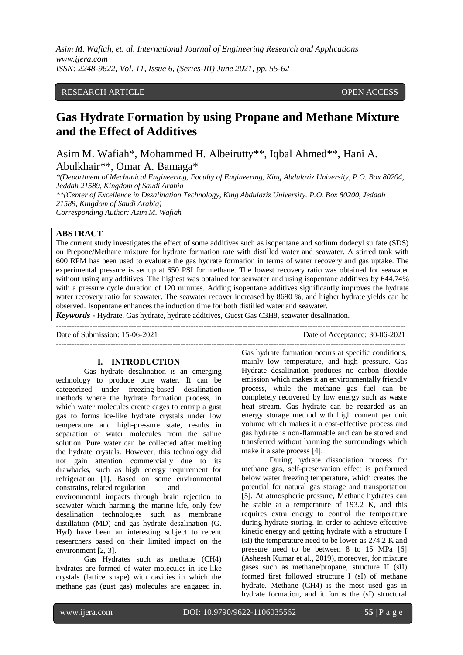*Asim M. Wafiah, et. al. International Journal of Engineering Research and Applications www.ijera.com ISSN: 2248-9622, Vol. 11, Issue 6, (Series-III) June 2021, pp. 55-62*

## RESEARCH ARTICLE **OPEN ACCESS**

# **Gas Hydrate Formation by using Propane and Methane Mixture and the Effect of Additives**

Asim M. Wafiah\*, Mohammed H. Albeirutty\*\*, Iqbal Ahmed\*\*, Hani A. Abulkhair\*\*, Omar A. Bamaga\*

*\*(Department of Mechanical Engineering, Faculty of Engineering, King Abdulaziz University, P.O. Box 80204, Jeddah 21589, Kingdom of Saudi Arabia \*\*(Center of Excellence in Desalination Technology, King Abdulaziz University. P.O. Box 80200, Jeddah 21589, Kingdom of Saudi Arabia)* 

*Corresponding Author: Asim M. Wafiah*

# **ABSTRACT**

The current study investigates the effect of some additives such as isopentane and sodium dodecyl sulfate (SDS) on Prepone/Methane mixture for hydrate formation rate with distilled water and seawater. A stirred tank with 600 RPM has been used to evaluate the gas hydrate formation in terms of water recovery and gas uptake. The experimental pressure is set up at 650 PSI for methane. The lowest recovery ratio was obtained for seawater without using any additives. The highest was obtained for seawater and using isopentane additives by 644.74% with a pressure cycle duration of 120 minutes. Adding isopentane additives significantly improves the hydrate water recovery ratio for seawater. The seawater recover increased by 8690 %, and higher hydrate yields can be observed. Isopentane enhances the induction time for both distilled water and seawater.

---------------------------------------------------------------------------------------------------------------------------------------

---------------------------------------------------------------------------------------------------------------------------------------

*Keywords* **-** Hydrate, Gas hydrate, hydrate additives, Guest Gas C3H8, seawater desalination.

Date of Submission: 15-06-2021 Date of Acceptance: 30-06-2021

#### **I. INTRODUCTION**

Gas hydrate desalination is an emerging technology to produce pure water. It can be categorized under freezing-based desalination methods where the hydrate formation process, in which water molecules create cages to entrap a gust gas to forms ice-like hydrate crystals under low temperature and high-pressure state, results in separation of water molecules from the saline solution. Pure water can be collected after melting the hydrate crystals. However, this technology did not gain attention commercially due to its drawbacks, such as high energy requirement for refrigeration [1]. Based on some environmental constrains, related regulation and environmental impacts through brain rejection to

seawater which harming the marine life, only few desalination technologies such as membrane distillation (MD) and gas hydrate desalination (G. Hyd) have been an interesting subject to recent researchers based on their limited impact on the environment [2, 3].

Gas Hydrates such as methane (CH4) hydrates are formed of water molecules in ice-like crystals (lattice shape) with cavities in which the methane gas (gust gas) molecules are engaged in.

Gas hydrate formation occurs at specific conditions, mainly low temperature, and high pressure. Gas Hydrate desalination produces no carbon dioxide emission which makes it an environmentally friendly process, while the methane gas fuel can be completely recovered by low energy such as waste heat stream. Gas hydrate can be regarded as an energy storage method with high content per unit volume which makes it a cost-effective process and gas hydrate is non-flammable and can be stored and transferred without harming the surroundings which make it a safe process [4].

During hydrate dissociation process for methane gas, self-preservation effect is performed below water freezing temperature, which creates the potential for natural gas storage and transportation [5]. At atmospheric pressure, Methane hydrates can be stable at a temperature of 193.2 K, and this requires extra energy to control the temperature during hydrate storing. In order to achieve effective kinetic energy and getting hydrate with a structure I (sI) the temperature need to be lower as 274.2 K and pressure need to be between 8 to 15 MPa [6] (Asheesh Kumar et al., 2019), moreover, for mixture gases such as methane/propane, structure II (sII) formed first followed structure I (sI) of methane hydrate. Methane (CH4) is the most used gas in hydrate formation, and it forms the (sI) structural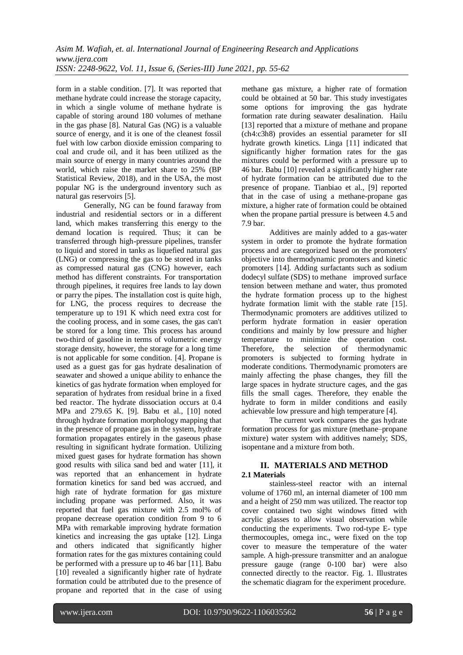form in a stable condition. [7]. It was reported that methane hydrate could increase the storage capacity, in which a single volume of methane hydrate is capable of storing around 180 volumes of methane in the gas phase [8]. Natural Gas (NG) is a valuable source of energy, and it is one of the cleanest fossil fuel with low carbon dioxide emission comparing to coal and crude oil, and it has been utilized as the main source of energy in many countries around the world, which raise the market share to 25% (BP Statistical Review, 2018), and in the USA, the most popular NG is the underground inventory such as natural gas reservoirs [5].

Generally, NG can be found faraway from industrial and residential sectors or in a different land, which makes transferring this energy to the demand location is required. Thus; it can be transferred through high-pressure pipelines, transfer to liquid and stored in tanks as liquefied natural gas (LNG) or compressing the gas to be stored in tanks as compressed natural gas (CNG) however, each method has different constraints. For transportation through pipelines, it requires free lands to lay down or parry the pipes. The installation cost is quite high, for LNG, the process requires to decrease the temperature up to 191 K which need extra cost for the cooling process, and in some cases, the gas can't be stored for a long time. This process has around two-third of gasoline in terms of volumetric energy storage density, however, the storage for a long time is not applicable for some condition. [4]. Propane is used as a guest gas for gas hydrate desalination of seawater and showed a unique ability to enhance the kinetics of gas hydrate formation when employed for separation of hydrates from residual brine in a fixed bed reactor. The hydrate dissociation occurs at 0.4 MPa and 279.65 K. [9]. Babu et al., [10] noted through hydrate formation morphology mapping that in the presence of propane gas in the system, hydrate formation propagates entirely in the gaseous phase resulting in significant hydrate formation. Utilizing mixed guest gases for hydrate formation has shown good results with silica sand bed and water [11], it was reported that an enhancement in hydrate formation kinetics for sand bed was accrued, and high rate of hydrate formation for gas mixture including propane was performed. Also, it was reported that fuel gas mixture with 2.5 mol% of propane decrease operation condition from 9 to 6 MPa with remarkable improving hydrate formation kinetics and increasing the gas uptake [12]. Linga and others indicated that significantly higher formation rates for the gas mixtures containing could be performed with a pressure up to 46 bar [11]. Babu [10] revealed a significantly higher rate of hydrate formation could be attributed due to the presence of propane and reported that in the case of using methane gas mixture, a higher rate of formation could be obtained at 50 bar. This study investigates some options for improving the gas hydrate formation rate during seawater desalination. Hailu [13] reported that a mixture of methane and propane (ch4:c3h8) provides an essential parameter for sII hydrate growth kinetics. Linga [11] indicated that significantly higher formation rates for the gas mixtures could be performed with a pressure up to 46 bar. Babu [10] revealed a significantly higher rate of hydrate formation can be attributed due to the presence of propane. Tianbiao et al., [9] reported that in the case of using a methane-propane gas mixture, a higher rate of formation could be obtained when the propane partial pressure is between 4.5 and 7.9 bar.

Additives are mainly added to a gas-water system in order to promote the hydrate formation process and are categorized based on the promoters' objective into thermodynamic promoters and kinetic promoters [14]. Adding surfactants such as sodium dodecyl sulfate (SDS) to methane improved surface tension between methane and water, thus promoted the hydrate formation process up to the highest hydrate formation limit with the stable rate [15]. Thermodynamic promoters are additives utilized to perform hydrate formation in easier operation conditions and mainly by low pressure and higher temperature to minimize the operation cost. Therefore, the selection of thermodynamic promoters is subjected to forming hydrate in moderate conditions. Thermodynamic promoters are mainly affecting the phase changes, they fill the large spaces in hydrate structure cages, and the gas fills the small cages. Therefore, they enable the hydrate to form in milder conditions and easily achievable low pressure and high temperature [4].

The current work compares the gas hydrate formation process for gas mixture (methane–propane mixture) water system with additives namely; SDS, isopentane and a mixture from both.

### **II. MATERIALS AND METHOD 2.1 Materials**

stainless-steel reactor with an internal volume of 1760 ml, an internal diameter of 100 mm and a height of 250 mm was utilized. The reactor top cover contained two sight windows fitted with acrylic glasses to allow visual observation while conducting the experiments. Two rod-type E- type thermocouples, omega inc., were fixed on the top cover to measure the temperature of the water sample. A high-pressure transmitter and an analogue pressure gauge (range 0-100 bar) were also connected directly to the reactor. Fig. 1. Illustrates the schematic diagram for the experiment procedure.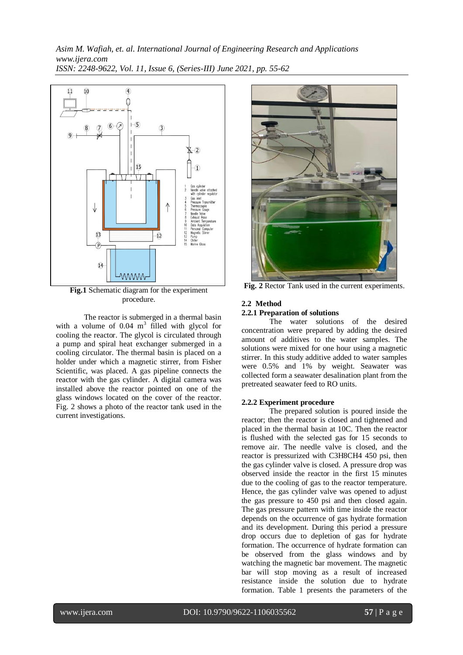*Asim M. Wafiah, et. al. International Journal of Engineering Research and Applications www.ijera.com ISSN: 2248-9622, Vol. 11, Issue 6, (Series-III) June 2021, pp. 55-62*



**Fig.1** Schematic diagram for the experiment procedure.

The reactor is submerged in a thermal basin with a volume of  $0.04 \text{ m}^3$  filled with glycol for cooling the reactor. The glycol is circulated through a pump and spiral heat exchanger submerged in a cooling circulator. The thermal basin is placed on a holder under which a magnetic stirrer, from Fisher Scientific, was placed. A gas pipeline connects the reactor with the gas cylinder. A digital camera was installed above the reactor pointed on one of the glass windows located on the cover of the reactor. Fig. 2 shows a photo of the reactor tank used in the current investigations.



**Fig. 2** Rector Tank used in the current experiments.

#### **2.2 Method**

#### **2.2.1 Preparation of solutions**

The water solutions of the desired concentration were prepared by adding the desired amount of additives to the water samples. The solutions were mixed for one hour using a magnetic stirrer. In this study additive added to water samples were 0.5% and 1% by weight. Seawater was collected form a seawater desalination plant from the pretreated seawater feed to RO units.

#### **2.2.2 Experiment procedure**

The prepared solution is poured inside the reactor; then the reactor is closed and tightened and placed in the thermal basin at 10C. Then the reactor is flushed with the selected gas for 15 seconds to remove air. The needle valve is closed, and the reactor is pressurized with C3H8CH4 450 psi, then the gas cylinder valve is closed. A pressure drop was observed inside the reactor in the first 15 minutes due to the cooling of gas to the reactor temperature. Hence, the gas cylinder valve was opened to adjust the gas pressure to 450 psi and then closed again. The gas pressure pattern with time inside the reactor depends on the occurrence of gas hydrate formation and its development. During this period a pressure drop occurs due to depletion of gas for hydrate formation. The occurrence of hydrate formation can be observed from the glass windows and by watching the magnetic bar movement. The magnetic bar will stop moving as a result of increased resistance inside the solution due to hydrate formation. Table 1 presents the parameters of the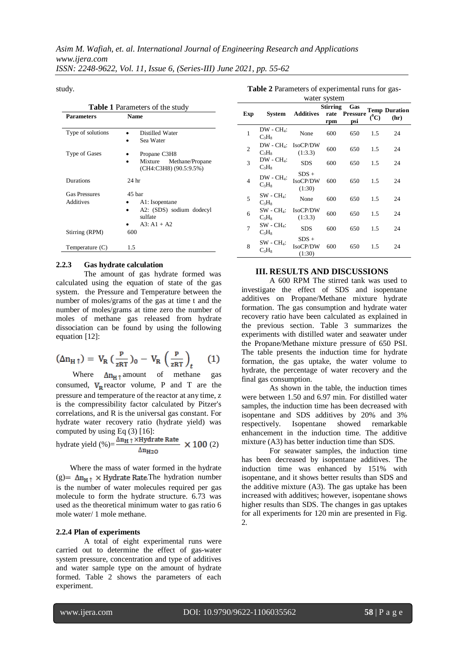*ISSN: 2248-9622, Vol. 11, Issue 6, (Series-III) June 2021, pp. 55-62*

study.

| <b>Table 1</b> Parameters of the study |                                                                                  |  |  |  |  |  |
|----------------------------------------|----------------------------------------------------------------------------------|--|--|--|--|--|
| <b>Parameters</b>                      | <b>Name</b>                                                                      |  |  |  |  |  |
| Type of solutions                      | Distilled Water<br>Sea Water                                                     |  |  |  |  |  |
| Type of Gases                          | Propane C3H8<br>Mixture<br>Methane/Propane<br>(CH4:C3H8) (90.5:9.5%)             |  |  |  |  |  |
| Durations                              | 24 <sub>hr</sub>                                                                 |  |  |  |  |  |
| <b>Gas Pressures</b><br>Additives      | 45 bar<br>A1: Isopentane<br>A2: (SDS) sodium dodecyl<br>sulfate<br>$A3: A1 + A2$ |  |  |  |  |  |
| Stirring (RPM)                         | 600                                                                              |  |  |  |  |  |
| Temperature (C)                        | 1.5                                                                              |  |  |  |  |  |

#### **2.2.3 Gas hydrate calculation**

The amount of gas hydrate formed was calculated using the equation of state of the gas system. the Pressure and Temperature between the number of moles/grams of the gas at time t and the number of moles/grams at time zero the number of moles of methane gas released from hydrate dissociation can be found by using the following equation [12]:

$$
(\Delta n_{H\uparrow}) = V_R \left(\frac{P}{zRT}\right)_0 - V_R \left(\frac{P}{zRT}\right)_t \tag{1}
$$

Where  $\Delta n_H \uparrow$  amount of methane gas consumed,  $V_R$  reactor volume, P and T are the pressure and temperature of the reactor at any time, z is the compressibility factor calculated by Pitzer's correlations, and R is the universal gas constant. For hydrate water recovery ratio (hydrate yield) was computed by using Eq (3) [16]:

$$
\text{hydrate yield } (\%)=\frac{\Delta n_{\text{H}} \uparrow \times \text{Hydrate Rate}}{\Delta n_{\text{H2O}}} \times 100 \text{ (2)}
$$

Where the mass of water formed in the hydrate (g) =  $\Delta n_{H} \uparrow \times$  Hydrate Rate. The hydration number is the number of water molecules required per gas molecule to form the hydrate structure. 6.73 was used as the theoretical minimum water to gas ratio 6 mole water/ 1 mole methane.

#### **2.2.4 Plan of experiments**

A total of eight experimental runs were carried out to determine the effect of gas-water system pressure, concentration and type of additives and water sample type on the amount of hydrate formed. Table 2 shows the parameters of each experiment.

**Table 2** Parameters of experimental runs for gas-

| water system   |                                           |                               |                 |                             |         |                              |
|----------------|-------------------------------------------|-------------------------------|-----------------|-----------------------------|---------|------------------------------|
| Exp            | System                                    | Additives                     | Stirring<br>rpm | Gas<br>rate Pressure<br>psi | $(^0C)$ | <b>Temp Duration</b><br>(hr) |
| $\mathbf{1}$   | $DW - CH_4$ :<br>$C_3H_8$                 | None                          | 600             | 650                         | 1.5     | 24                           |
| $\overline{2}$ | $DW - CH_4$ :<br>$C_3H_8$                 | IsoCP/DW<br>(1:3.3)           | 600             | 650                         | 1.5     | 24                           |
| 3              | $DW - CH_4$ :<br>$C_3H_8$                 | <b>SDS</b>                    | 600             | 650                         | 1.5     | 24                           |
| 4              | $DW - CH_4$ :<br>$C_3H_8$                 | $SDS +$<br>IsoCP/DW<br>(1:30) | 600             | 650                         | 1.5     | 24                           |
| 5              | $SW - CH_4$ :<br>$C_3H_8$                 | None                          | 600             | 650                         | 1.5     | 24                           |
| 6              | $\text{SW}$ - $\text{CH}_4$ :<br>$C_3H_8$ | IsoCP/DW<br>(1:3.3)           | 600             | 650                         | 1.5     | 24                           |
| $\overline{7}$ | $SW - CH_4$ :<br>$C_3H_8$                 | <b>SDS</b>                    | 600             | 650                         | 1.5     | 24                           |
| 8              | $SW - CH_4$ :<br>$C_3H_8$                 | $SDS +$<br>IsoCP/DW<br>(1:30) | 600             | 650                         | 1.5     | 24                           |

## **III. RESULTS AND DISCUSSIONS**

A 600 RPM The stirred tank was used to investigate the effect of SDS and isopentane additives on Propane/Methane mixture hydrate formation. The gas consumption and hydrate water recovery ratio have been calculated as explained in the previous section. Table 3 summarizes the experiments with distilled water and seawater under the Propane/Methane mixture pressure of 650 PSI. The table presents the induction time for hydrate formation, the gas uptake, the water volume to hydrate, the percentage of water recovery and the final gas consumption.

As shown in the table, the induction times were between 1.50 and 6.97 min. For distilled water samples, the induction time has been decreased with isopentane and SDS additives by 20% and 3% respectively. Isopentane showed remarkable enhancement in the induction time. The additive mixture (A3) has better induction time than SDS.

For seawater samples, the induction time has been decreased by isopentane additives. The induction time was enhanced by 151% with isopentane, and it shows better results than SDS and the additive mixture (A3). The gas uptake has been increased with additives; however, isopentane shows higher results than SDS. The changes in gas uptakes for all experiments for 120 min are presented in Fig. 2.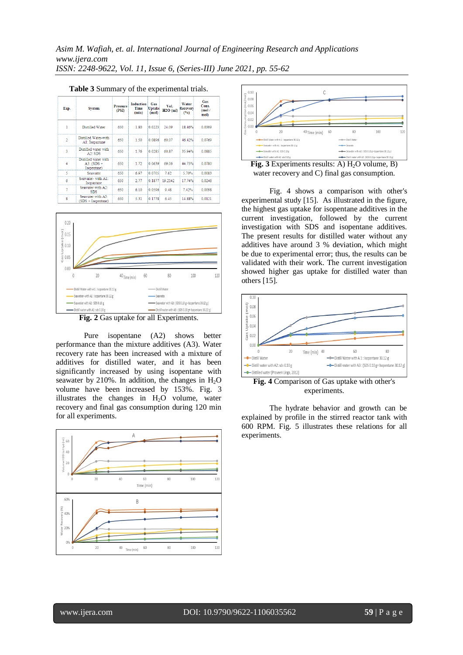| Exp.           | <b>System</b>                                       | <b>Pressure</b><br>(PSD) | <b>Induction</b><br><b>Time</b><br>(min) | Gas<br>Uptake<br>(mol) | Vol.<br>$H2O$ (ml) | Water<br><b>Recovery</b><br>(9/6) | Gas<br>Cons.<br>(mol/<br>mol |
|----------------|-----------------------------------------------------|--------------------------|------------------------------------------|------------------------|--------------------|-----------------------------------|------------------------------|
| 1              | Distilled Water                                     | 650                      | 1.80                                     | 0.0223                 | 24.09              | 18.46%                            | 0.0309                       |
| $\overline{2}$ | Distilled Water-with<br>A1: Isopantane              | 650                      | 1.50                                     | 0.0896                 | 60.07              | 46.42%                            | 0.0769                       |
| R              | Distilled water with<br>A2:SDS                      | 650                      | 1.76                                     | 0.0285                 | 60.87              | 35.94%                            | 0.0885                       |
| 4              | Distilled water with<br>$A3: (SDS +$<br>Isopentane) | 650                      | 1.72                                     | 0.0639                 | 69.06              | 44.73%                            | 0.0780                       |
| 5              | Seawater                                            | 650                      | 6.97                                     | 0.0705                 | 7.62               | 5.70%                             | 0.0083                       |
| 6              | Seawater-with A1:<br>Isopantane                     | 650                      | 2.77                                     | 0.1877                 | 19.2142            | 17.74%                            | 0.0246                       |
| 7              | Seawater with A2:<br><b>SDS</b>                     | 650                      | 6.10                                     | 0.0596                 | 9.48               | 7.42%                             | 0.0098                       |
| 8              | Seawater with A3:<br>$(SDS + Isonentane)$           | 650                      | 5.31                                     | 0.1778                 | 6.45               | 14.88%                            | 0.0121                       |

|  |  |  | Table 3 Summary of the experimental trials. |  |
|--|--|--|---------------------------------------------|--|
|--|--|--|---------------------------------------------|--|



**Fig. 2** Gas uptake for all Experiments.

Pure isopentane (A2) shows better performance than the mixture additives (A3). Water recovery rate has been increased with a mixture of additives for distilled water, and it has been significantly increased by using isopentane with seawater by 210%. In addition, the changes in  $H<sub>2</sub>O$ volume have been increased by 153%. Fig. 3 illustrates the changes in  $H_2O$  volume, water recovery and final gas consumption during 120 min for all experiments.





Fig. 3 Experiments results: A) H<sub>2</sub>O volume, B) water recovery and C) final gas consumption.

Fig. 4 shows a comparison with other's experimental study [15]. As illustrated in the figure, the highest gas uptake for isopentane additives in the current investigation, followed by the current investigation with SDS and isopentane additives. The present results for distilled water without any additives have around 3 % deviation, which might be due to experimental error; thus, the results can be validated with their work. The current investigation showed higher gas uptake for distilled water than others [15].



experiments.

The hydrate behavior and growth can be explained by profile in the stirred reactor tank with 600 RPM. Fig. 5 illustrates these relations for all experiments.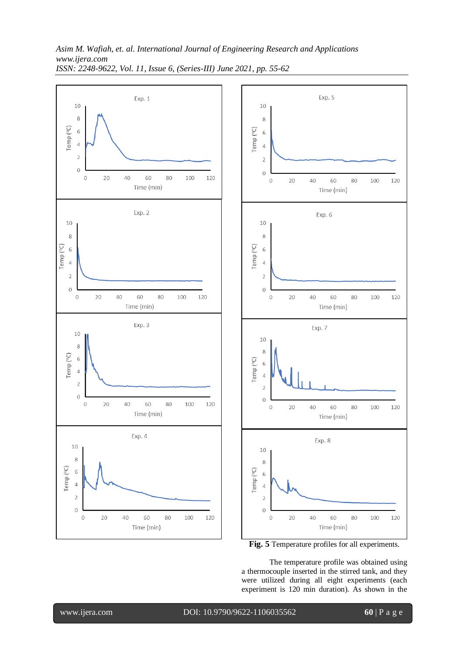*Asim M. Wafiah, et. al. International Journal of Engineering Research and Applications www.ijera.com ISSN: 2248-9622, Vol. 11, Issue 6, (Series-III) June 2021, pp. 55-62*





**Fig. 5** Temperature profiles for all experiments.

The temperature profile was obtained using a thermocouple inserted in the stirred tank, and they were utilized during all eight experiments (each experiment is 120 min duration). As shown in the

www.ijera.com DOI: 10.9790/9622-1106035562 **60** | P a g e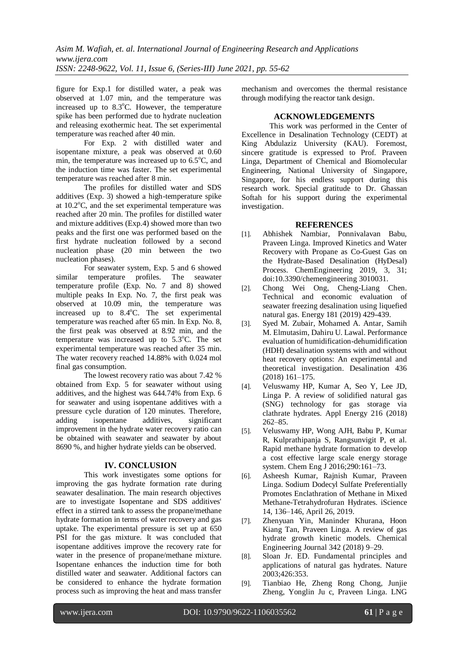figure for Exp.1 for distilled water, a peak was observed at 1.07 min, and the temperature was increased up to  $8.3^{\circ}$ C. However, the temperature spike has been performed due to hydrate nucleation and releasing exothermic heat. The set experimental temperature was reached after 40 min.

For Exp. 2 with distilled water and isopentane mixture, a peak was observed at 0.60 min, the temperature was increased up to  $6.5^{\circ}$ C, and the induction time was faster. The set experimental temperature was reached after 8 min.

The profiles for distilled water and SDS additives (Exp. 3) showed a high-temperature spike at  $10.2^{\circ}$ C, and the set experimental temperature was reached after 20 min. The profiles for distilled water and mixture additives (Exp.4) showed more than two peaks and the first one was performed based on the first hydrate nucleation followed by a second nucleation phase (20 min between the two nucleation phases).

For seawater system, Exp. 5 and 6 showed similar temperature profiles. The seawater temperature profile (Exp. No. 7 and 8) showed multiple peaks In Exp. No. 7, the first peak was observed at 10.09 min, the temperature was increased up to  $8.4^{\circ}$ C. The set experimental temperature was reached after 65 min. In Exp. No. 8, the first peak was observed at 8.92 min, and the temperature was increased up to  $5.3^{\circ}$ C. The set experimental temperature was reached after 35 min. The water recovery reached 14.88% with 0.024 mol final gas consumption.

The lowest recovery ratio was about 7.42 % obtained from Exp. 5 for seawater without using additives, and the highest was 644.74% from Exp. 6 for seawater and using isopentane additives with a pressure cycle duration of 120 minutes. Therefore, adding isopentane additives, significant improvement in the hydrate water recovery ratio can be obtained with seawater and seawater by about 8690 %, and higher hydrate yields can be observed.

# **IV. CONCLUSION**

This work investigates some options for improving the gas hydrate formation rate during seawater desalination. The main research objectives are to investigate Isopentane and SDS additives' effect in a stirred tank to assess the propane/methane hydrate formation in terms of water recovery and gas uptake. The experimental pressure is set up at 650 PSI for the gas mixture. It was concluded that isopentane additives improve the recovery rate for water in the presence of propane/methane mixture. Isopentane enhances the induction time for both distilled water and seawater. Additional factors can be considered to enhance the hydrate formation process such as improving the heat and mass transfer

mechanism and overcomes the thermal resistance through modifying the reactor tank design.

## **ACKNOWLEDGEMENTS**

This work was performed in the Center of Excellence in Desalination Technology (CEDT) at King Abdulaziz University (KAU). Foremost, sincere gratitude is expressed to Prof. Praveen Linga, Department of Chemical and Biomolecular Engineering, National University of Singapore, Singapore, for his endless support during this research work. Special gratitude to Dr. Ghassan Softah for his support during the experimental investigation.

# **REFERENCES**

- [1]. Abhishek Nambiar, Ponnivalavan Babu, Praveen Linga. Improved Kinetics and Water Recovery with Propane as Co-Guest Gas on the Hydrate-Based Desalination (HyDesal) Process. ChemEngineering 2019, 3, 31; doi:10.3390/chemengineering 3010031.
- [2]. Chong Wei Ong, Cheng-Liang Chen. Technical and economic evaluation of seawater freezing desalination using liquefied natural gas. Energy 181 (2019) 429-439.
- [3]. Syed M. Zubair, Mohamed A. Antar, Samih M. Elmutasim, Dahiru U. Lawal. Performance evaluation of humidification-dehumidification (HDH) desalination systems with and without heat recovery options: An experimental and theoretical investigation. Desalination 436 (2018) 161–175.
- [4]. Veluswamy HP, Kumar A, Seo Y, Lee JD, Linga P. A review of solidified natural gas (SNG) technology for gas storage via clathrate hydrates. Appl Energy 216 (2018) 262–85.
- [5]. Veluswamy HP, Wong AJH, Babu P, Kumar R, Kulprathipanja S, Rangsunvigit P, et al. Rapid methane hydrate formation to develop a cost effective large scale energy storage system. Chem Eng J 2016;290:161–73.
- [6]. Asheesh Kumar, Rajnish Kumar, Praveen Linga. Sodium Dodecyl Sulfate Preferentially Promotes Enclathration of Methane in Mixed Methane-Tetrahydrofuran Hydrates. iScience 14, 136–146, April 26, 2019.
- [7]. Zhenyuan Yin, Maninder Khurana, Hoon Kiang Tan, Praveen Linga. A review of gas hydrate growth kinetic models. Chemical Engineering Journal 342 (2018) 9–29.
- [8]. Sloan Jr. ED. Fundamental principles and applications of natural gas hydrates. Nature 2003;426:353.
- [9]. Tianbiao He, Zheng Rong Chong, Junjie Zheng, Yonglin Ju c, Praveen Linga. LNG